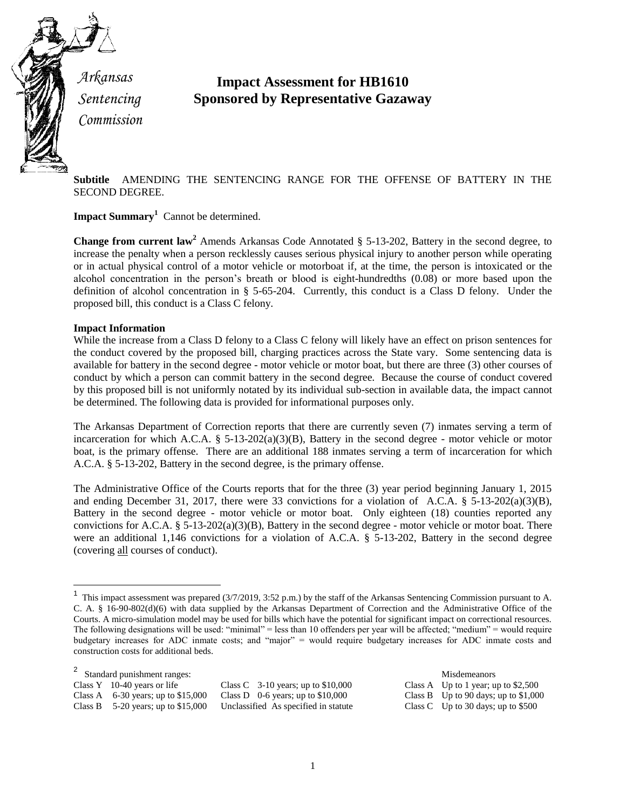

*Arkansas Sentencing Commission*

## **Impact Assessment for HB1610 Sponsored by Representative Gazaway**

**Subtitle** AMENDING THE SENTENCING RANGE FOR THE OFFENSE OF BATTERY IN THE SECOND DEGREE.

**Impact Summary<sup>1</sup>** Cannot be determined.

**Change from current law<sup>2</sup>** Amends Arkansas Code Annotated § 5-13-202, Battery in the second degree, to increase the penalty when a person recklessly causes serious physical injury to another person while operating or in actual physical control of a motor vehicle or motorboat if, at the time, the person is intoxicated or the alcohol concentration in the person's breath or blood is eight-hundredths (0.08) or more based upon the definition of alcohol concentration in § 5-65-204. Currently, this conduct is a Class D felony. Under the proposed bill, this conduct is a Class C felony.

## **Impact Information**

 $\overline{a}$ 

While the increase from a Class D felony to a Class C felony will likely have an effect on prison sentences for the conduct covered by the proposed bill, charging practices across the State vary. Some sentencing data is available for battery in the second degree - motor vehicle or motor boat, but there are three (3) other courses of conduct by which a person can commit battery in the second degree. Because the course of conduct covered by this proposed bill is not uniformly notated by its individual sub-section in available data, the impact cannot be determined. The following data is provided for informational purposes only.

The Arkansas Department of Correction reports that there are currently seven (7) inmates serving a term of incarceration for which A.C.A. § 5-13-202(a)(3)(B), Battery in the second degree - motor vehicle or motor boat, is the primary offense. There are an additional 188 inmates serving a term of incarceration for which A.C.A. § 5-13-202, Battery in the second degree, is the primary offense.

The Administrative Office of the Courts reports that for the three (3) year period beginning January 1, 2015 and ending December 31, 2017, there were 33 convictions for a violation of A.C.A. § 5-13-202(a)(3)(B), Battery in the second degree - motor vehicle or motor boat. Only eighteen (18) counties reported any convictions for A.C.A. § 5-13-202(a)(3)(B), Battery in the second degree - motor vehicle or motor boat. There were an additional 1,146 convictions for a violation of A.C.A. § 5-13-202, Battery in the second degree (covering all courses of conduct).

<sup>&</sup>lt;sup>1</sup> This impact assessment was prepared  $(3/7/2019, 3:52 \text{ p.m.})$  by the staff of the Arkansas Sentencing Commission pursuant to A. C. A. § 16-90-802(d)(6) with data supplied by the Arkansas Department of Correction and the Administrative Office of the Courts. A micro-simulation model may be used for bills which have the potential for significant impact on correctional resources. The following designations will be used: "minimal" = less than 10 offenders per year will be affected; "medium" = would require budgetary increases for ADC inmate costs; and "major" = would require budgetary increases for ADC inmate costs and construction costs for additional beds.

| <sup>2</sup> Standard punishment ranges: |                           |                                    |
|------------------------------------------|---------------------------|------------------------------------|
| Class $Y$ 10-40 years or life            |                           | Class C $\,$ 3-10 years; up to     |
| Class A $\,$ 6-30 years; up to \$15,000  |                           | Class D $\,$ 0-6 years; up to $\,$ |
| Class B $5-20$ years; up to \$15,000     | Unclassified As specified |                                    |
|                                          |                           |                                    |

Misdemeanors  $$10,000$  Class A Up to 1 year; up to  $$2,500$  $$10,000$  Class B Up to 90 days; up to  $$1,000$ in statute Class C  $Up$  to 30 days; up to \$500